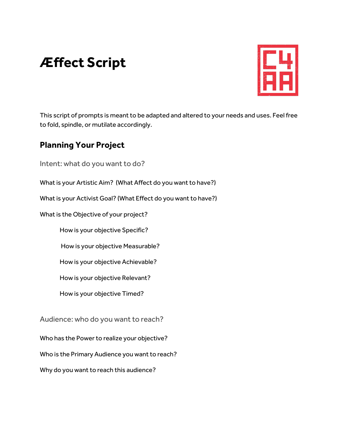# **Æffect Script**



This script of prompts is meant to be adapted and altered to your needs and uses. Feel free to fold, spindle, or mutilate accordingly.

# **Planning Your Project**

Intent: what do you want to do?

What is your Artistic Aim? (What Affect do you want to have?)

What is your Activist Goal? (What Effect do you want to have?)

What is the Objective of your project?

How is your objective Specific?

How is your objective Measurable?

How is your objective Achievable?

How is your objective Relevant?

How is your objective Timed?

Audience: who do you want to reach?

Who has the Power to realize your objective?

Who is the Primary Audience you want to reach?

Why do you want to reach this audience?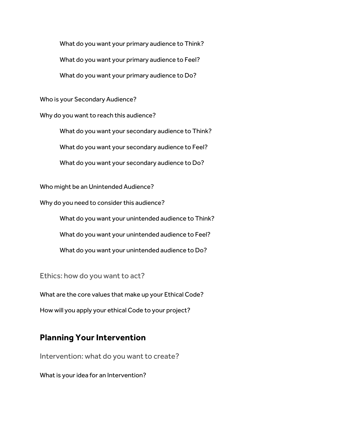What do you want your primary audience to Think?

What do you want your primary audience to Feel?

What do you want your primary audience to Do?

Who is your Secondary Audience?

Why do you want to reach this audience?

What do you want your secondary audience to Think? What do you want your secondary audience to Feel? What do you want your secondary audience to Do?

Who might be an Unintended Audience?

Why do you need to consider this audience?

What do you want your unintended audience to Think?

What do you want your unintended audience to Feel?

What do you want your unintended audience to Do?

Ethics: how do you want to act?

What are the core values that make up your Ethical Code?

How will you apply your ethical Code to your project?

### **Planning Your Intervention**

Intervention: what do you want to create?

What is your idea for an Intervention?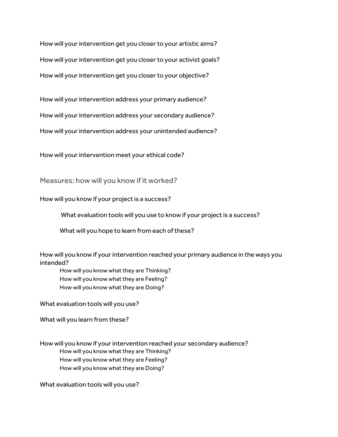How will your intervention get you closer to your artistic aims? How will your intervention get you closer to your activist goals? How will your intervention get you closer to your objective?

How will your intervention address your primary audience?

How will your intervention address your secondary audience?

How will your intervention address your unintended audience?

How will your intervention meet your ethical code?

Measures: how will you know if it worked?

How will you know if your project is a success?

What evaluation tools will you use to know if your project is a success?

What will you hope to learn from each of these?

How will you know if your intervention reached your primary audience in the ways you intended?

How will you know what they are Thinking? How will you know what they are Feeling? How will you know what they are Doing?

What evaluation tools will you use?

What will you learn from these?

How will you know if your intervention reached your secondary audience? How will you know what they are Thinking? How will you know what they are Feeling? How will you know what they are Doing?

What evaluation tools will you use?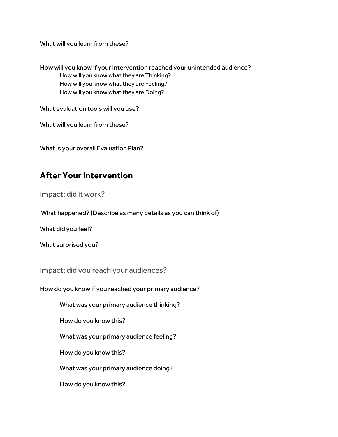What will you learn from these?

How will you know if your intervention reached your unintended audience? How will you know what they are Thinking? How will you know what they are Feeling? How will you know what they are Doing?

What evaluation tools will you use?

What will you learn from these?

What is your overall Evaluation Plan?

# **After Your Intervention**

Impact: did it work?

What happened? (Describe as many details as you can think of)

What did you feel?

What surprised you?

Impact: did you reach your audiences?

How do you know if you reached your primary audience?

What was your primary audience thinking?

How do you know this?

What was your primary audience feeling?

How do you know this?

What was your primary audience doing?

How do you know this?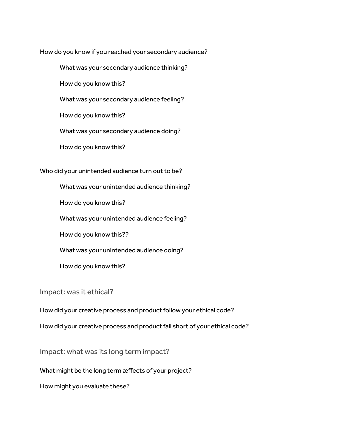How do you know if you reached your secondary audience?

What was your secondary audience thinking?

How do you know this?

What was your secondary audience feeling?

How do you know this?

What was your secondary audience doing?

How do you know this?

Who did your unintended audience turn out to be?

What was your unintended audience thinking?

How do you know this?

What was your unintended audience feeling?

How do you know this??

What was your unintended audience doing?

How do you know this?

Impact: was it ethical?

How did your creative process and product follow your ethical code?

How did your creative process and product fall short of your ethical code?

Impact: what was its long term impact?

What might be the long term æffects of your project?

How might you evaluate these?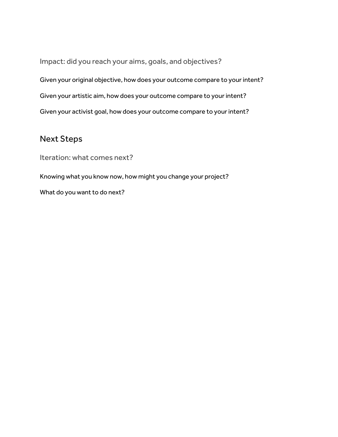Impact: did you reach your aims, goals, and objectives? Given your original objective, how does your outcome compare to your intent? Given your artistic aim, how does your outcome compare to your intent? Given your activist goal, how does your outcome compare to your intent?

### Next Steps

Iteration: what comes next?

Knowing what you know now, how might you change your project? What do you want to do next?